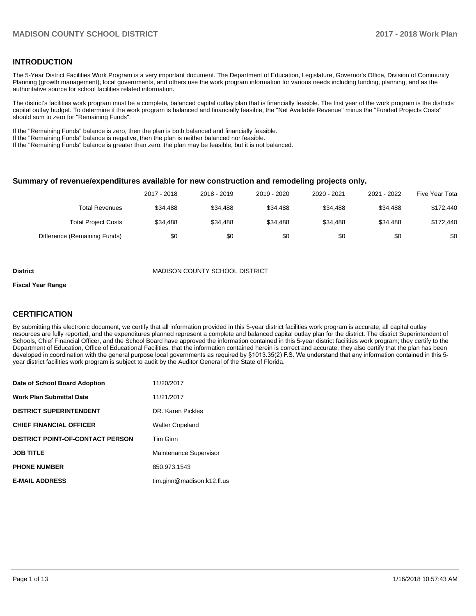## **INTRODUCTION**

The 5-Year District Facilities Work Program is a very important document. The Department of Education, Legislature, Governor's Office, Division of Community Planning (growth management), local governments, and others use the work program information for various needs including funding, planning, and as the authoritative source for school facilities related information.

The district's facilities work program must be a complete, balanced capital outlay plan that is financially feasible. The first year of the work program is the districts capital outlay budget. To determine if the work program is balanced and financially feasible, the "Net Available Revenue" minus the "Funded Projects Costs" should sum to zero for "Remaining Funds".

If the "Remaining Funds" balance is zero, then the plan is both balanced and financially feasible.

If the "Remaining Funds" balance is negative, then the plan is neither balanced nor feasible.

If the "Remaining Funds" balance is greater than zero, the plan may be feasible, but it is not balanced.

#### **Summary of revenue/expenditures available for new construction and remodeling projects only.**

| Five Year Tota | 2021 - 2022 | 2020 - 2021 | 2019 - 2020 | 2018 - 2019 | 2017 - 2018 |                              |
|----------------|-------------|-------------|-------------|-------------|-------------|------------------------------|
| \$172,440      | \$34.488    | \$34,488    | \$34,488    | \$34,488    | \$34.488    | <b>Total Revenues</b>        |
| \$172,440      | \$34,488    | \$34,488    | \$34,488    | \$34,488    | \$34.488    | Total Project Costs          |
| \$0            | \$0         | \$0         | \$0         | \$0         | \$0         | Difference (Remaining Funds) |

#### **District** MADISON COUNTY SCHOOL DISTRICT

#### **Fiscal Year Range**

## **CERTIFICATION**

By submitting this electronic document, we certify that all information provided in this 5-year district facilities work program is accurate, all capital outlay resources are fully reported, and the expenditures planned represent a complete and balanced capital outlay plan for the district. The district Superintendent of Schools, Chief Financial Officer, and the School Board have approved the information contained in this 5-year district facilities work program; they certify to the Department of Education, Office of Educational Facilities, that the information contained herein is correct and accurate; they also certify that the plan has been developed in coordination with the general purpose local governments as required by §1013.35(2) F.S. We understand that any information contained in this 5year district facilities work program is subject to audit by the Auditor General of the State of Florida.

| Date of School Board Adoption           | 11/20/2017                 |
|-----------------------------------------|----------------------------|
| <b>Work Plan Submittal Date</b>         | 11/21/2017                 |
| <b>DISTRICT SUPERINTENDENT</b>          | DR. Karen Pickles          |
| <b>CHIEF FINANCIAL OFFICER</b>          | <b>Walter Copeland</b>     |
| <b>DISTRICT POINT-OF-CONTACT PERSON</b> | Tim Ginn                   |
| <b>JOB TITLE</b>                        | Maintenance Supervisor     |
| <b>PHONE NUMBER</b>                     | 850.973.1543               |
| <b>E-MAIL ADDRESS</b>                   | tim.ginn@madison.k12.fl.us |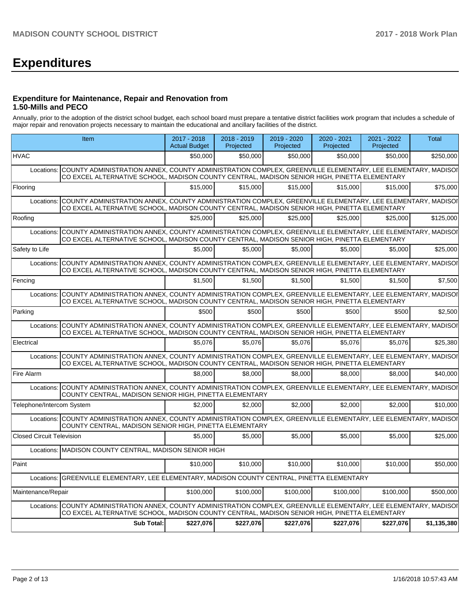# **Expenditures**

## **Expenditure for Maintenance, Repair and Renovation from 1.50-Mills and PECO**

Annually, prior to the adoption of the district school budget, each school board must prepare a tentative district facilities work program that includes a schedule of major repair and renovation projects necessary to maintain the educational and ancillary facilities of the district.

|                                  | Item                                                                                                                                                                                                                  | 2017 - 2018<br><b>Actual Budget</b> | 2018 - 2019<br>Projected | 2019 - 2020<br>Projected | 2020 - 2021<br>Projected | 2021 - 2022<br>Projected | <b>Total</b> |
|----------------------------------|-----------------------------------------------------------------------------------------------------------------------------------------------------------------------------------------------------------------------|-------------------------------------|--------------------------|--------------------------|--------------------------|--------------------------|--------------|
| <b>HVAC</b>                      |                                                                                                                                                                                                                       | \$50,000                            | \$50,000                 | \$50,000                 | \$50,000                 | \$50,000                 | \$250,000    |
| Locations:                       | COUNTY ADMINISTRATION ANNEX, COUNTY ADMINISTRATION COMPLEX, GREENVILLE ELEMENTARY, LEE ELEMENTARY, MADISOI<br>CO EXCEL ALTERNATIVE SCHOOL, MADISON COUNTY CENTRAL, MADISON SENIOR HIGH, PINETTA ELEMENTARY            |                                     |                          |                          |                          |                          |              |
| Flooring                         |                                                                                                                                                                                                                       | \$15,000                            | \$15,000                 | \$15,000                 | \$15,000                 | \$15,000                 | \$75,000     |
| Locations:                       | COUNTY ADMINISTRATION ANNEX, COUNTY ADMINISTRATION COMPLEX, GREENVILLE ELEMENTARY, LEE ELEMENTARY, MADISOI<br>CO EXCEL ALTERNATIVE SCHOOL, MADISON COUNTY CENTRAL, MADISON SENIOR HIGH, PINETTA ELEMENTARY            |                                     |                          |                          |                          |                          |              |
| Roofing                          |                                                                                                                                                                                                                       | \$25,000                            | \$25,000                 | \$25,000                 | \$25,000                 | \$25.000                 | \$125,000    |
| Locations:                       | COUNTY ADMINISTRATION ANNEX, COUNTY ADMINISTRATION COMPLEX, GREENVILLE ELEMENTARY, LEE ELEMENTARY, MADISOI<br>CO EXCEL ALTERNATIVE SCHOOL, MADISON COUNTY CENTRAL, MADISON SENIOR HIGH, PINETTA ELEMENTARY            |                                     |                          |                          |                          |                          |              |
| Safety to Life                   |                                                                                                                                                                                                                       | \$5,000                             | \$5,000                  | \$5,000                  | \$5.000                  | \$5,000                  | \$25,000     |
|                                  | Locations: COUNTY ADMINISTRATION ANNEX. COUNTY ADMINISTRATION COMPLEX. GREENVILLE ELEMENTARY. LEE ELEMENTARY. MADISOI<br>CO EXCEL ALTERNATIVE SCHOOL, MADISON COUNTY CENTRAL, MADISON SENIOR HIGH, PINETTA ELEMENTARY |                                     |                          |                          |                          |                          |              |
| Fencing                          |                                                                                                                                                                                                                       | \$1,500                             | \$1,500                  | \$1,500                  | \$1,500                  | \$1,500                  | \$7,500      |
|                                  | Locations: COUNTY ADMINISTRATION ANNEX, COUNTY ADMINISTRATION COMPLEX, GREENVILLE ELEMENTARY, LEE ELEMENTARY, MADISOI<br>CO EXCEL ALTERNATIVE SCHOOL, MADISON COUNTY CENTRAL, MADISON SENIOR HIGH, PINETTA ELEMENTARY |                                     |                          |                          |                          |                          |              |
| Parking                          |                                                                                                                                                                                                                       | \$500                               | \$500                    | \$500                    | \$500                    | \$500                    | \$2,500      |
|                                  | Locations: COUNTY ADMINISTRATION ANNEX, COUNTY ADMINISTRATION COMPLEX, GREENVILLE ELEMENTARY, LEE ELEMENTARY, MADISOI<br>CO EXCEL ALTERNATIVE SCHOOL, MADISON COUNTY CENTRAL, MADISON SENIOR HIGH, PINETTA ELEMENTARY |                                     |                          |                          |                          |                          |              |
| Electrical                       |                                                                                                                                                                                                                       | \$5.076                             | \$5.076                  | \$5.076                  | \$5.076                  | \$5.076                  | \$25,380     |
| Locations:                       | ICOUNTY ADMINISTRATION ANNEX. COUNTY ADMINISTRATION COMPLEX. GREENVILLE ELEMENTARY. LEE ELEMENTARY. MADISOI<br>CO EXCEL ALTERNATIVE SCHOOL, MADISON COUNTY CENTRAL, MADISON SENIOR HIGH, PINETTA ELEMENTARY           |                                     |                          |                          |                          |                          |              |
| Fire Alarm                       |                                                                                                                                                                                                                       | \$8,000                             | \$8,000                  | \$8,000                  | \$8,000                  | \$8,000                  | \$40,000     |
| Locations:                       | COUNTY ADMINISTRATION ANNEX, COUNTY ADMINISTRATION COMPLEX, GREENVILLE ELEMENTARY, LEE ELEMENTARY, MADISOI<br>COUNTY CENTRAL, MADISON SENIOR HIGH, PINETTA ELEMENTARY                                                 |                                     |                          |                          |                          |                          |              |
| Telephone/Intercom System        |                                                                                                                                                                                                                       | \$2.000                             | \$2,000                  | \$2,000                  | \$2.000                  | \$2.000                  | \$10,000     |
|                                  | Locations: COUNTY ADMINISTRATION ANNEX, COUNTY ADMINISTRATION COMPLEX, GREENVILLE ELEMENTARY, LEE ELEMENTARY, MADISOI<br>COUNTY CENTRAL, MADISON SENIOR HIGH, PINETTA ELEMENTARY                                      |                                     |                          |                          |                          |                          |              |
| <b>Closed Circuit Television</b> |                                                                                                                                                                                                                       | \$5.000                             | \$5,000                  | \$5,000                  | \$5.000                  | \$5,000                  | \$25,000     |
|                                  | Locations: MADISON COUNTY CENTRAL, MADISON SENIOR HIGH                                                                                                                                                                |                                     |                          |                          |                          |                          |              |
| Paint                            |                                                                                                                                                                                                                       | \$10,000                            | \$10,000                 | \$10,000                 | \$10,000                 | \$10,000                 | \$50,000     |
|                                  | Locations: GREENVILLE ELEMENTARY, LEE ELEMENTARY, MADISON COUNTY CENTRAL, PINETTA ELEMENTARY                                                                                                                          |                                     |                          |                          |                          |                          |              |
| Maintenance/Repair               |                                                                                                                                                                                                                       | \$100,000                           | \$100.000                | \$100,000                | \$100,000                | \$100,000                | \$500,000    |
|                                  | Locations: COUNTY ADMINISTRATION ANNEX, COUNTY ADMINISTRATION COMPLEX, GREENVILLE ELEMENTARY, LEE ELEMENTARY, MADISOI<br>CO EXCEL ALTERNATIVE SCHOOL, MADISON COUNTY CENTRAL, MADISON SENIOR HIGH, PINETTA ELEMENTARY |                                     |                          |                          |                          |                          |              |
|                                  | <b>Sub Total:</b>                                                                                                                                                                                                     | \$227,076                           | \$227,076                | \$227,076                | \$227,076                | \$227,076                | \$1,135,380  |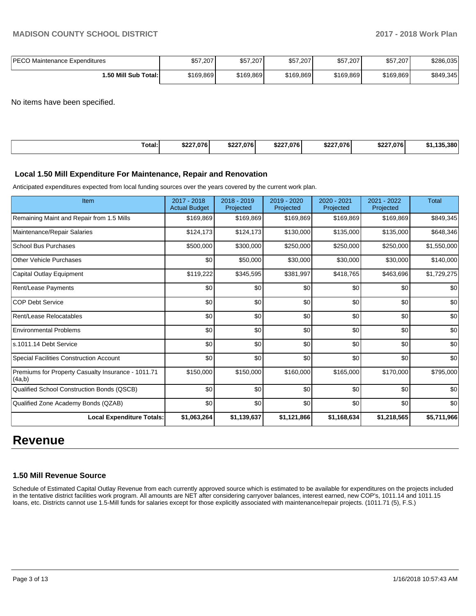| <b>IPECO Maintenance Expenditures</b> | \$57,207  | \$57,207  | \$57,207  | \$57,207  | \$57,207  | \$286.035 |
|---------------------------------------|-----------|-----------|-----------|-----------|-----------|-----------|
| 1.50 Mill Sub Total:                  | \$169.869 | \$169,869 | \$169.869 | \$169,869 | \$169.869 | \$849,345 |

No items have been specified.

| Total:<br>. | 0.020<br>07 0 !<br>DZ. | \$227,076 | \$227,076 | \$227.076<br>DZ. | \$227.0761 | 4 A F<br>.380<br>י ה |
|-------------|------------------------|-----------|-----------|------------------|------------|----------------------|
|             |                        |           |           |                  |            |                      |

#### **Local 1.50 Mill Expenditure For Maintenance, Repair and Renovation**

Anticipated expenditures expected from local funding sources over the years covered by the current work plan.

| Item                                                         | 2017 - 2018<br><b>Actual Budget</b> | 2018 - 2019<br>Projected | 2019 - 2020<br>Projected | 2020 - 2021<br>Projected | 2021 - 2022<br>Projected | <b>Total</b> |
|--------------------------------------------------------------|-------------------------------------|--------------------------|--------------------------|--------------------------|--------------------------|--------------|
| Remaining Maint and Repair from 1.5 Mills                    | \$169,869                           | \$169,869                | \$169,869                | \$169,869                | \$169,869                | \$849,345    |
| Maintenance/Repair Salaries                                  | \$124,173                           | \$124,173                | \$130,000                | \$135,000                | \$135,000                | \$648,346    |
| <b>School Bus Purchases</b>                                  | \$500,000                           | \$300,000                | \$250,000                | \$250,000                | \$250,000                | \$1,550,000  |
| <b>Other Vehicle Purchases</b>                               | \$0                                 | \$50,000                 | \$30,000                 | \$30,000                 | \$30,000                 | \$140,000    |
| Capital Outlay Equipment                                     | \$119,222                           | \$345,595                | \$381,997                | \$418,765                | \$463,696                | \$1,729,275  |
| Rent/Lease Payments                                          | \$0                                 | \$0                      | \$0                      | \$0                      | \$0                      | \$0          |
| <b>COP Debt Service</b>                                      | \$0                                 | \$0                      | \$0                      | \$0                      | \$0                      | \$0          |
| Rent/Lease Relocatables                                      | \$0                                 | \$0                      | \$0                      | \$0                      | \$0                      | \$0          |
| <b>Environmental Problems</b>                                | \$0                                 | \$0                      | \$0                      | \$0                      | \$0                      | \$0          |
| s.1011.14 Debt Service                                       | \$0                                 | \$0                      | \$0                      | \$0                      | \$0                      | \$0          |
| Special Facilities Construction Account                      | \$0                                 | \$0                      | \$0                      | \$0                      | \$0                      | \$0          |
| Premiums for Property Casualty Insurance - 1011.71<br>(4a,b) | \$150,000                           | \$150,000                | \$160,000                | \$165,000                | \$170,000                | \$795,000    |
| Qualified School Construction Bonds (QSCB)                   | \$0                                 | \$0                      | \$0                      | \$0                      | \$0                      | \$0          |
| Qualified Zone Academy Bonds (QZAB)                          | \$0                                 | \$0                      | \$0                      | \$0                      | \$0                      | \$0          |
| <b>Local Expenditure Totals:</b>                             | \$1,063,264                         | \$1,139,637              | \$1,121,866              | \$1,168,634              | \$1,218,565              | \$5,711,966  |

## **Revenue**

## **1.50 Mill Revenue Source**

Schedule of Estimated Capital Outlay Revenue from each currently approved source which is estimated to be available for expenditures on the projects included in the tentative district facilities work program. All amounts are NET after considering carryover balances, interest earned, new COP's, 1011.14 and 1011.15 loans, etc. Districts cannot use 1.5-Mill funds for salaries except for those explicitly associated with maintenance/repair projects. (1011.71 (5), F.S.)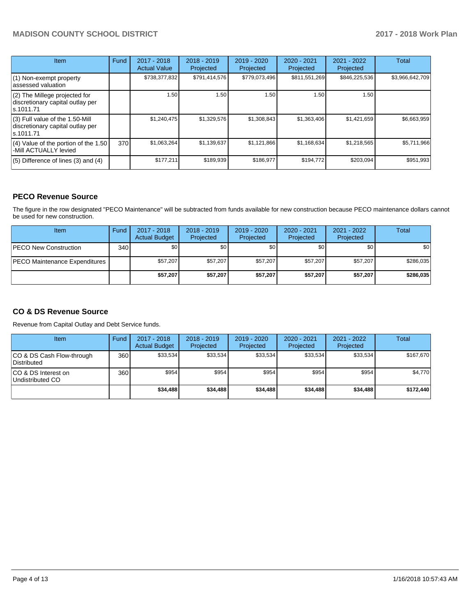## **MADISON COUNTY SCHOOL DISTRICT 2017 - 2018 Work Plan**

| <b>Item</b>                                                                         | Fund | $2017 - 2018$<br><b>Actual Value</b> | $2018 - 2019$<br>Projected | $2019 - 2020$<br>Projected | $2020 - 2021$<br>Projected | $2021 - 2022$<br>Projected | <b>Total</b>    |
|-------------------------------------------------------------------------------------|------|--------------------------------------|----------------------------|----------------------------|----------------------------|----------------------------|-----------------|
| (1) Non-exempt property<br>lassessed valuation                                      |      | \$738,377,832                        | \$791,414,576              | \$779,073,496              | \$811,551,269              | \$846,225,536              | \$3,966,642,709 |
| (2) The Millege projected for<br>discretionary capital outlay per<br>ls.1011.71     |      | 1.50                                 | 1.50                       | 1.50                       | 1.50                       | 1.50                       |                 |
| $(3)$ Full value of the 1.50-Mill<br>discretionary capital outlay per<br>ls.1011.71 |      | \$1,240,475                          | \$1,329,576                | \$1,308,843                | \$1,363,406                | \$1,421,659                | \$6,663,959     |
| $(4)$ Value of the portion of the 1.50<br>-Mill ACTUALLY levied                     | 370  | \$1,063,264                          | \$1,139,637                | \$1,121,866                | \$1,168,634                | \$1,218,565                | \$5,711,966     |
| $(5)$ Difference of lines $(3)$ and $(4)$                                           |      | \$177,211                            | \$189,939                  | \$186,977                  | \$194,772                  | \$203,094                  | \$951,993       |

## **PECO Revenue Source**

The figure in the row designated "PECO Maintenance" will be subtracted from funds available for new construction because PECO maintenance dollars cannot be used for new construction.

| Item                           | Fund | $2017 - 2018$<br><b>Actual Budget</b> | $2018 - 2019$<br>Projected | $2019 - 2020$<br>Projected | 2020 - 2021<br>Projected | 2021 - 2022<br>Projected | <b>Total</b>     |
|--------------------------------|------|---------------------------------------|----------------------------|----------------------------|--------------------------|--------------------------|------------------|
| <b>PECO New Construction</b>   | 340  | \$0                                   | \$0 <sub>1</sub>           | \$0                        | \$0 <sub>1</sub>         | \$0                      | \$0 <sub>1</sub> |
| IPECO Maintenance Expenditures |      | \$57,207                              | \$57,207                   | \$57.207                   | \$57,207                 | \$57,207                 | \$286,035        |
|                                |      | \$57,207                              | \$57,207                   | \$57.207                   | \$57.207                 | \$57,207                 | \$286,035        |

## **CO & DS Revenue Source**

Revenue from Capital Outlay and Debt Service funds.

| Item                                      | Fund | $2017 - 2018$<br><b>Actual Budget</b> | $2018 - 2019$<br>Projected | $2019 - 2020$<br>Projected | $2020 - 2021$<br>Projected | $2021 - 2022$<br>Projected | <b>Total</b> |
|-------------------------------------------|------|---------------------------------------|----------------------------|----------------------------|----------------------------|----------------------------|--------------|
| ICO & DS Cash Flow-through<br>Distributed | 360  | \$33.534                              | \$33.534                   | \$33,534                   | \$33,534                   | \$33,534                   | \$167,670    |
| ICO & DS Interest on<br>Undistributed CO  | 360  | \$954                                 | \$954                      | \$954                      | \$954                      | \$954                      | \$4,770      |
|                                           |      | \$34,488                              | \$34.488                   | \$34,488                   | \$34,488                   | \$34,488                   | \$172.440    |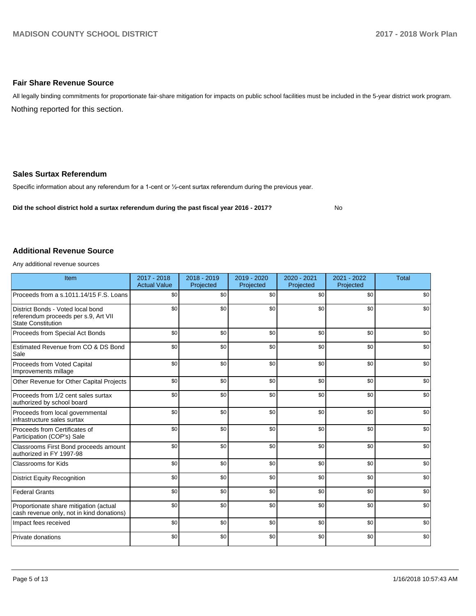## **Fair Share Revenue Source**

Nothing reported for this section. All legally binding commitments for proportionate fair-share mitigation for impacts on public school facilities must be included in the 5-year district work program.

## **Sales Surtax Referendum**

Specific information about any referendum for a 1-cent or 1/2-cent surtax referendum during the previous year.

**Did the school district hold a surtax referendum during the past fiscal year 2016 - 2017?**

No

#### **Additional Revenue Source**

Any additional revenue sources

| Item                                                                                                   | $2017 - 2018$<br><b>Actual Value</b> | $2018 - 2019$<br>Projected | 2019 - 2020<br>Projected | 2020 - 2021<br>Projected | 2021 - 2022<br>Projected | <b>Total</b> |
|--------------------------------------------------------------------------------------------------------|--------------------------------------|----------------------------|--------------------------|--------------------------|--------------------------|--------------|
| Proceeds from a s.1011.14/15 F.S. Loans                                                                | \$0                                  | \$0                        | \$0                      | \$0                      | \$0                      | \$0          |
| District Bonds - Voted local bond<br>referendum proceeds per s.9, Art VII<br><b>State Constitution</b> | \$0                                  | \$0                        | \$0                      | \$0                      | \$0                      | \$0          |
| Proceeds from Special Act Bonds                                                                        | \$0                                  | \$0                        | \$0                      | \$0                      | \$0                      | \$0          |
| Estimated Revenue from CO & DS Bond<br>Sale                                                            | \$0                                  | \$0                        | \$0                      | \$0                      | \$0                      | \$0          |
| Proceeds from Voted Capital<br>Improvements millage                                                    | \$0                                  | \$0                        | \$0                      | \$0                      | \$0                      | \$0          |
| Other Revenue for Other Capital Projects                                                               | \$0                                  | \$0                        | \$0                      | \$0                      | \$0                      | \$0          |
| Proceeds from 1/2 cent sales surtax<br>authorized by school board                                      | \$0                                  | \$0                        | \$0                      | \$0                      | \$0                      | \$0          |
| Proceeds from local governmental<br>infrastructure sales surtax                                        | \$0                                  | \$0                        | \$0                      | \$0                      | \$0                      | \$0          |
| Proceeds from Certificates of<br>Participation (COP's) Sale                                            | \$0                                  | \$0                        | \$0                      | \$0                      | \$0                      | \$0          |
| Classrooms First Bond proceeds amount<br>authorized in FY 1997-98                                      | \$0                                  | \$0                        | \$0                      | \$0                      | \$0                      | \$0          |
| <b>Classrooms for Kids</b>                                                                             | \$0                                  | \$0                        | \$0                      | \$0                      | \$0                      | \$0          |
| <b>District Equity Recognition</b>                                                                     | \$0                                  | \$0                        | \$0                      | \$0                      | \$0                      | \$0          |
| <b>Federal Grants</b>                                                                                  | \$0                                  | \$0                        | \$0                      | \$0                      | \$0                      | \$0          |
| Proportionate share mitigation (actual<br>cash revenue only, not in kind donations)                    | \$0                                  | \$0                        | \$0                      | \$0                      | \$0                      | \$0          |
| Impact fees received                                                                                   | \$0                                  | \$0                        | \$0                      | \$0                      | \$0                      | \$0          |
| Private donations                                                                                      | \$0                                  | \$0                        | \$0                      | \$0                      | \$0                      | \$0          |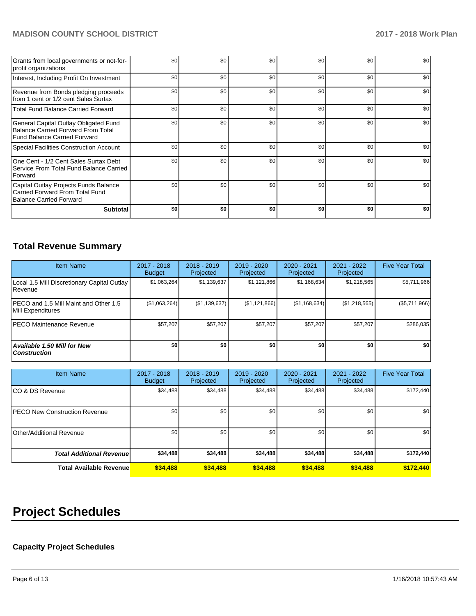## **MADISON COUNTY SCHOOL DISTRICT 2017 - 2018 Work Plan**

| Grants from local governments or not-for-<br>profit organizations                                                         | \$0 | \$0 | \$0 | \$0 | \$0 | \$0 |
|---------------------------------------------------------------------------------------------------------------------------|-----|-----|-----|-----|-----|-----|
| Interest, Including Profit On Investment                                                                                  | \$0 | \$0 | \$0 | \$0 | \$0 | \$0 |
| Revenue from Bonds pledging proceeds<br>from 1 cent or 1/2 cent Sales Surtax                                              | \$0 | \$0 | \$0 | \$0 | \$0 | \$0 |
| <b>Total Fund Balance Carried Forward</b>                                                                                 | \$0 | \$0 | \$0 | \$0 | \$0 | \$0 |
| General Capital Outlay Obligated Fund<br><b>Balance Carried Forward From Total</b><br><b>Fund Balance Carried Forward</b> | \$0 | \$0 | \$0 | \$0 | \$0 | \$0 |
| Special Facilities Construction Account                                                                                   | \$0 | \$0 | \$0 | \$0 | \$0 | \$0 |
| One Cent - 1/2 Cent Sales Surtax Debt<br>Service From Total Fund Balance Carried<br>Forward                               | \$0 | \$0 | \$0 | \$0 | \$0 | \$0 |
| Capital Outlay Projects Funds Balance<br>Carried Forward From Total Fund<br><b>Balance Carried Forward</b>                | \$0 | \$0 | \$0 | \$0 | \$0 | \$0 |
| <b>Subtotal</b>                                                                                                           | \$0 | \$0 | \$0 | \$0 | \$0 | \$0 |

## **Total Revenue Summary**

| <b>Item Name</b>                                           | 2017 - 2018<br>Budget | $2018 - 2019$<br>Projected | $2019 - 2020$<br>Projected | $2020 - 2021$<br>Projected | 2021 - 2022<br>Projected | <b>Five Year Total</b> |
|------------------------------------------------------------|-----------------------|----------------------------|----------------------------|----------------------------|--------------------------|------------------------|
| Local 1.5 Mill Discretionary Capital Outlay<br>l Revenue   | \$1,063,264           | \$1,139,637                | \$1,121,866                | \$1,168,634                | \$1,218,565              | \$5,711,966            |
| PECO and 1.5 Mill Maint and Other 1.5<br>Mill Expenditures | (\$1,063,264)         | (\$1,139,637)              | (\$1,121,866)              | (\$1,168,634)              | (\$1,218,565)            | (\$5,711,966)          |
| <b>IPECO Maintenance Revenue</b>                           | \$57,207              | \$57,207                   | \$57,207                   | \$57,207                   | \$57,207                 | \$286,035              |
| <b>Available 1.50 Mill for New</b><br><b>Construction</b>  | \$0                   | \$0                        | \$0                        | \$O                        | \$0                      | \$0                    |

| <b>Item Name</b>                      | 2017 - 2018<br><b>Budget</b> | $2018 - 2019$<br>Projected | 2019 - 2020<br>Projected | 2020 - 2021<br>Projected | 2021 - 2022<br>Projected | <b>Five Year Total</b> |
|---------------------------------------|------------------------------|----------------------------|--------------------------|--------------------------|--------------------------|------------------------|
| ICO & DS Revenue                      | \$34,488                     | \$34,488                   | \$34,488                 | \$34,488                 | \$34,488                 | \$172,440              |
| <b>IPECO New Construction Revenue</b> | \$0                          | \$0                        | \$0                      | \$0                      | \$0                      | \$0                    |
| Other/Additional Revenue              | \$0                          | \$0 <sub>1</sub>           | \$0                      | \$0                      | \$0                      | \$0                    |
| <b>Total Additional Revenuel</b>      | \$34,488                     | \$34,488                   | \$34,488                 | \$34,488                 | \$34,488                 | \$172,440              |
| <b>Total Available Revenue</b>        | \$34,488                     | \$34,488                   | \$34,488                 | \$34,488                 | \$34,488                 | \$172,440              |

# **Project Schedules**

## **Capacity Project Schedules**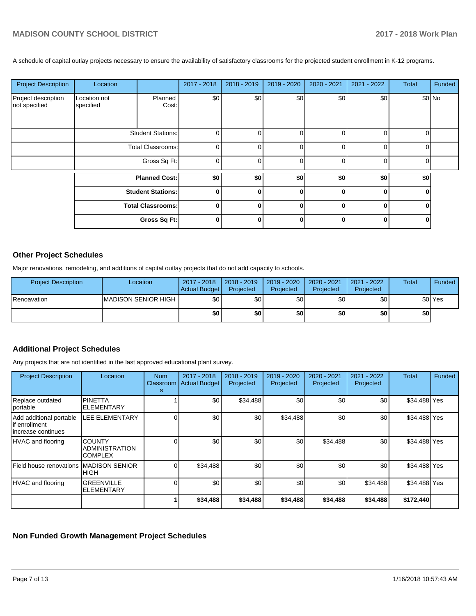A schedule of capital outlay projects necessary to ensure the availability of satisfactory classrooms for the projected student enrollment in K-12 programs.

| <b>Project Description</b>           | Location                  |                      | 2017 - 2018 | 2018 - 2019 | 2019 - 2020  | 2020 - 2021 | 2021 - 2022 | Total | Funded  |
|--------------------------------------|---------------------------|----------------------|-------------|-------------|--------------|-------------|-------------|-------|---------|
| Project description<br>not specified | Location not<br>specified | Planned<br>Cost:     | \$0         | \$0         | \$0          | \$0         | \$0         |       | $$0$ No |
|                                      | <b>Student Stations:</b>  |                      | $\Omega$    |             | 0            | 0           | $\Omega$    |       |         |
|                                      | <b>Total Classrooms:</b>  |                      | $\Omega$    |             | $\Omega$     | $\Omega$    | $\Omega$    |       |         |
|                                      | Gross Sq Ft:              |                      | $\Omega$    |             | $\Omega$     |             | $\Omega$    |       |         |
|                                      |                           | <b>Planned Cost:</b> | \$0]        | \$0]        | \$0          | \$0         | \$0         | \$0   |         |
|                                      | <b>Student Stations:</b>  |                      | $\Omega$    |             | $\mathbf{0}$ | ŋ           | O           |       |         |
|                                      | <b>Total Classrooms:</b>  |                      | $\bf{0}$    |             | $\Omega$     |             | 0           |       |         |
|                                      |                           | Gross Sq Ft:         | $\Omega$    |             | 0            |             |             |       |         |

## **Other Project Schedules**

Major renovations, remodeling, and additions of capital outlay projects that do not add capacity to schools.

| <b>Project Description</b> | Location             | 2017 - 2018<br><b>Actual Budget</b> | $\vert$ 2018 - 2019<br>Projected | 2019 - 2020<br>Projected | 2020 - 2021<br>Projected | 2021 - 2022<br>Projected | <b>Total</b> | Funded             |
|----------------------------|----------------------|-------------------------------------|----------------------------------|--------------------------|--------------------------|--------------------------|--------------|--------------------|
| Renoavation                | IMADISON SENIOR HIGH | \$0                                 | \$0                              | \$0                      | \$0                      | \$0                      |              | \$0 <sup>Yes</sup> |
|                            |                      | \$0                                 | \$0                              | \$0                      | \$0                      | \$0                      | \$٥١         |                    |

## **Additional Project Schedules**

Any projects that are not identified in the last approved educational plant survey.

| <b>Project Description</b>                                     | Location                                                 | <b>Num</b><br>Classroom<br>s | 2017 - 2018<br><b>Actual Budget</b> | 2018 - 2019<br>Projected | 2019 - 2020<br>Projected | 2020 - 2021<br>Projected | 2021 - 2022<br>Projected | <b>Total</b> | Funded |
|----------------------------------------------------------------|----------------------------------------------------------|------------------------------|-------------------------------------|--------------------------|--------------------------|--------------------------|--------------------------|--------------|--------|
| Replace outdated<br>portable                                   | <b>PINETTA</b><br><b>ELEMENTARY</b>                      |                              | \$0                                 | \$34,488                 | \$0                      | \$0                      | \$0                      | \$34,488 Yes |        |
| Add additional portable<br>if enrollment<br>increase continues | <b>LEE ELEMENTARY</b>                                    |                              | \$0                                 | \$0                      | \$34,488                 | \$0                      | \$0                      | \$34,488 Yes |        |
| HVAC and flooring                                              | <b>COUNTY</b><br><b>ADMINISTRATION</b><br><b>COMPLEX</b> |                              | \$0                                 | \$0                      | \$0                      | \$34,488                 | \$0                      | \$34,488 Yes |        |
| Field house renovations MADISON SENIOR                         | <b>HIGH</b>                                              |                              | \$34,488                            | \$0                      | \$0                      | \$0                      | \$0                      | \$34,488 Yes |        |
| HVAC and flooring                                              | <b>GREENVILLE</b><br><b>ELEMENTARY</b>                   |                              | \$0                                 | \$0                      | \$0                      | \$0                      | \$34,488                 | \$34,488 Yes |        |
|                                                                |                                                          |                              | \$34,488                            | \$34,488                 | \$34,488                 | \$34,488                 | \$34,488                 | \$172,440    |        |

## **Non Funded Growth Management Project Schedules**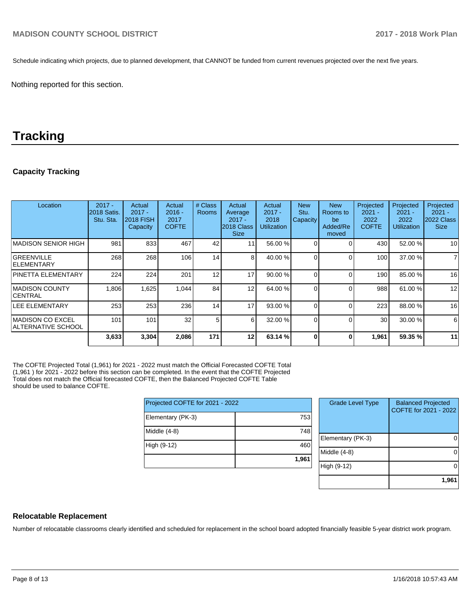Schedule indicating which projects, due to planned development, that CANNOT be funded from current revenues projected over the next five years.

Nothing reported for this section.

## **Tracking**

## **Capacity Tracking**

| Location                                       | $2017 -$<br>2018 Satis.<br>Stu. Sta. | Actual<br>$2017 -$<br><b>2018 FISH</b><br>Capacity | Actual<br>$2016 -$<br>2017<br><b>COFTE</b> | # Class<br><b>Rooms</b> | Actual<br>Average<br>$2017 -$<br>2018 Class<br><b>Size</b> | Actual<br>$2017 -$<br>2018<br>Utilization | <b>New</b><br>Stu.<br>Capacity | <b>New</b><br>Rooms to<br>be<br>Added/Re<br>moved | Projected<br>$2021 -$<br>2022<br><b>COFTE</b> | Projected<br>$2021 -$<br>2022<br><b>Utilization</b> | Projected<br>$2021 -$<br>2022 Class<br><b>Size</b> |
|------------------------------------------------|--------------------------------------|----------------------------------------------------|--------------------------------------------|-------------------------|------------------------------------------------------------|-------------------------------------------|--------------------------------|---------------------------------------------------|-----------------------------------------------|-----------------------------------------------------|----------------------------------------------------|
| IMADISON SENIOR HIGH                           | 981                                  | 833                                                | 467                                        | 42                      |                                                            | 56.00 %                                   |                                | C                                                 | 430                                           | 52.00 %                                             | 10                                                 |
| <b>GREENVILLE</b><br><b>IELEMENTARY</b>        | 268                                  | 268                                                | 106                                        | 14                      | 8                                                          | 40.00 %                                   |                                | $\Omega$                                          | 100 <sup>1</sup>                              | 37.00 %                                             | $\overline{7}$                                     |
| <b>PINETTA ELEMENTARY</b>                      | 224                                  | 224                                                | 201                                        | 12                      | 17                                                         | 90.00%                                    |                                | $\Omega$                                          | 190                                           | 85.00 %                                             | 16                                                 |
| <b>IMADISON COUNTY</b><br>ICENTRAL             | 1,806                                | 1,625                                              | 1,044                                      | 84                      | 12                                                         | 64.00 %                                   | 0                              | $\Omega$                                          | 988                                           | 61.00 %                                             | 12                                                 |
| <b>LEE ELEMENTARY</b>                          | 253                                  | 253                                                | 236                                        | 14                      | 17                                                         | 93.00 %                                   |                                | $\Omega$                                          | 223                                           | 88.00 %                                             | 16                                                 |
| IMADISON CO EXCEL<br><b>ALTERNATIVE SCHOOL</b> | 101                                  | 101                                                | 32                                         | 5                       | 6                                                          | 32.00 %                                   |                                | $\Omega$                                          | 30                                            | 30.00 %                                             | 6                                                  |
|                                                | 3,633                                | 3,304                                              | 2,086                                      | 171                     | 12                                                         | 63.14 %                                   |                                | 0                                                 | 1,961                                         | 59.35 %                                             | 11                                                 |

The COFTE Projected Total (1,961) for 2021 - 2022 must match the Official Forecasted COFTE Total (1,961 ) for 2021 - 2022 before this section can be completed. In the event that the COFTE Projected Total does not match the Official forecasted COFTE, then the Balanced Projected COFTE Table should be used to balance COFTE.

| Projected COFTE for 2021 - 2022 |       |  |  |  |  |  |
|---------------------------------|-------|--|--|--|--|--|
| Elementary (PK-3)               | 753   |  |  |  |  |  |
| Middle (4-8)                    | 748   |  |  |  |  |  |
| High (9-12)                     | 460   |  |  |  |  |  |
|                                 | 1,961 |  |  |  |  |  |

| <b>Grade Level Type</b> | <b>Balanced Projected</b><br>COFTE for 2021 - 2022 |
|-------------------------|----------------------------------------------------|
| Elementary (PK-3)       |                                                    |
| Middle $(4-8)$          |                                                    |
| High (9-12)             |                                                    |
|                         | 1,961                                              |

## **Relocatable Replacement**

Number of relocatable classrooms clearly identified and scheduled for replacement in the school board adopted financially feasible 5-year district work program.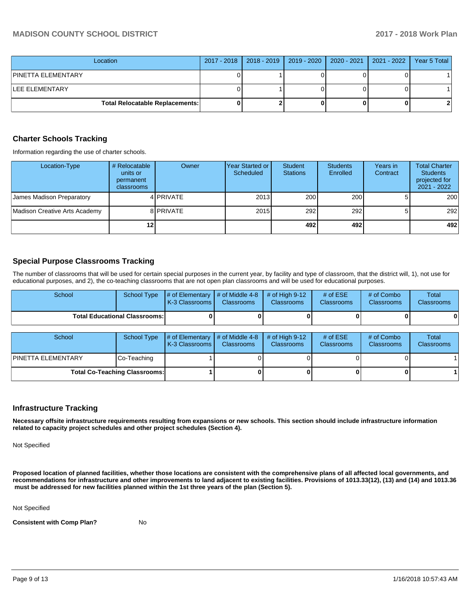| Location                               |  | 2017 - 2018   2018 - 2019   2019 - 2020   2020 - 2021   2021 - 2022 | Year 5 Total |
|----------------------------------------|--|---------------------------------------------------------------------|--------------|
| IPINETTA ELEMENTARY                    |  |                                                                     |              |
| ILEE ELEMENTARY                        |  |                                                                     |              |
| <b>Total Relocatable Replacements:</b> |  |                                                                     |              |

#### **Charter Schools Tracking**

Information regarding the use of charter schools.

| Location-Type                 | # Relocatable<br>units or<br>permanent<br><b>classrooms</b> | Owner     | Year Started or  <br>Scheduled | <b>Student</b><br><b>Stations</b> | <b>Students</b><br>Enrolled | Years in<br>Contract | <b>Total Charter</b><br><b>Students</b><br>projected for<br>2021 - 2022 |
|-------------------------------|-------------------------------------------------------------|-----------|--------------------------------|-----------------------------------|-----------------------------|----------------------|-------------------------------------------------------------------------|
| James Madison Preparatory     |                                                             | 4 PRIVATE | 2013                           | 200                               | 200                         |                      | 200                                                                     |
| Madison Creative Arts Academy |                                                             | 8 PRIVATE | 2015                           | 292                               | 292                         |                      | 292                                                                     |
|                               | 12                                                          |           |                                | 492                               | 492                         |                      | 492                                                                     |

#### **Special Purpose Classrooms Tracking**

The number of classrooms that will be used for certain special purposes in the current year, by facility and type of classroom, that the district will, 1), not use for educational purposes, and 2), the co-teaching classrooms that are not open plan classrooms and will be used for educational purposes.

| School                               | School Type | $\parallel \#$ of Elementary $\parallel \#$ of Middle 4-8 $\parallel \#$ of High 9-12<br>K-3 Classrooms I | <b>Classrooms</b> | <b>Classrooms</b> | # of $ESE$<br><b>Classrooms</b> | # of Combo<br><b>Classrooms</b> | Total<br><b>Classrooms</b> |
|--------------------------------------|-------------|-----------------------------------------------------------------------------------------------------------|-------------------|-------------------|---------------------------------|---------------------------------|----------------------------|
| <b>Total Educational Classrooms:</b> |             |                                                                                                           | 0                 |                   |                                 |                                 | 0                          |

| School                               | School Type | $\parallel$ # of Elementary # of Middle 4-8<br><b>IK-3 Classrooms</b> | <b>Classrooms</b> | $\#$ of High 9-12<br><b>Classrooms</b> | # of $ESE$<br><b>Classrooms</b> | # of Combo<br><b>Classrooms</b> | Total<br><b>Classrooms</b> |
|--------------------------------------|-------------|-----------------------------------------------------------------------|-------------------|----------------------------------------|---------------------------------|---------------------------------|----------------------------|
| IPINETTA ELEMENTARY                  | Co-Teaching |                                                                       |                   |                                        |                                 |                                 |                            |
| <b>Total Co-Teaching Classrooms:</b> |             |                                                                       |                   |                                        | 0                               |                                 |                            |

## **Infrastructure Tracking**

**Necessary offsite infrastructure requirements resulting from expansions or new schools. This section should include infrastructure information related to capacity project schedules and other project schedules (Section 4).** 

Not Specified

**Proposed location of planned facilities, whether those locations are consistent with the comprehensive plans of all affected local governments, and recommendations for infrastructure and other improvements to land adjacent to existing facilities. Provisions of 1013.33(12), (13) and (14) and 1013.36** must be addressed for new facilities planned within the 1st three years of the plan (Section 5).

Not Specified

**Consistent with Comp Plan?** No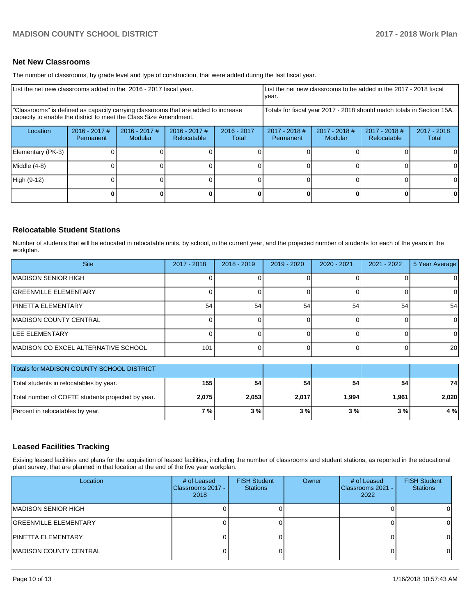## **Net New Classrooms**

The number of classrooms, by grade level and type of construction, that were added during the last fiscal year.

| List the net new classrooms added in the 2016 - 2017 fiscal year.                                                                                       |                                                                        |                                   |                                                                                                                                                        |  |  | List the net new classrooms to be added in the 2017 - 2018 fiscal<br>year. |   |                        |  |  |
|---------------------------------------------------------------------------------------------------------------------------------------------------------|------------------------------------------------------------------------|-----------------------------------|--------------------------------------------------------------------------------------------------------------------------------------------------------|--|--|----------------------------------------------------------------------------|---|------------------------|--|--|
| "Classrooms" is defined as capacity carrying classrooms that are added to increase<br>capacity to enable the district to meet the Class Size Amendment. | Totals for fiscal year 2017 - 2018 should match totals in Section 15A. |                                   |                                                                                                                                                        |  |  |                                                                            |   |                        |  |  |
| Location                                                                                                                                                | $2016 - 2017$ #<br>Permanent                                           | $2016 - 2017$ #<br><b>Modular</b> | $2016 - 2017$ #<br>$2017 - 2018$ #<br>$2017 - 2018$ #<br>2017 - 2018 #<br>$2016 - 2017$<br>Modular<br>Relocatable<br>Relocatable<br>Permanent<br>Total |  |  |                                                                            |   | $2017 - 2018$<br>Total |  |  |
| Elementary (PK-3)                                                                                                                                       |                                                                        |                                   |                                                                                                                                                        |  |  |                                                                            |   |                        |  |  |
| Middle (4-8)                                                                                                                                            |                                                                        |                                   |                                                                                                                                                        |  |  |                                                                            |   |                        |  |  |
| High (9-12)                                                                                                                                             |                                                                        |                                   |                                                                                                                                                        |  |  |                                                                            |   |                        |  |  |
|                                                                                                                                                         |                                                                        |                                   |                                                                                                                                                        |  |  |                                                                            | 0 | 0                      |  |  |

#### **Relocatable Student Stations**

Number of students that will be educated in relocatable units, by school, in the current year, and the projected number of students for each of the years in the workplan.

| <b>Site</b>                         | $2017 - 2018$ | $2018 - 2019$ | 2019 - 2020 | 2020 - 2021 | 2021 - 2022 | 5 Year Average |
|-------------------------------------|---------------|---------------|-------------|-------------|-------------|----------------|
| MADISON SENIOR HIGH                 |               |               |             |             |             |                |
| <b>GREENVILLE ELEMENTARY</b>        |               |               |             |             |             | O.             |
| <b>PINETTA ELEMENTARY</b>           | 54            | 54            | 54          | 54          | 54          | 54             |
| <b>IMADISON COUNTY CENTRAL</b>      |               |               |             |             |             | 0              |
| <b>LEE ELEMENTARY</b>               |               |               |             |             |             | ΩI             |
| MADISON CO EXCEL ALTERNATIVE SCHOOL | 101           |               |             |             |             | <b>20</b>      |

| Totals for MADISON COUNTY SCHOOL DISTRICT         |       |       |       |       |       |       |
|---------------------------------------------------|-------|-------|-------|-------|-------|-------|
| Total students in relocatables by year.           | 155   | 54    | 54    | 54    | 54    | 74    |
| Total number of COFTE students projected by year. | 2,075 | 2,053 | 2,017 | 1.994 | 1.961 | 2.020 |
| Percent in relocatables by year.                  | 7 % l | 3%    | 3%    | 3%    | 3%    | 4 %   |

## **Leased Facilities Tracking**

Exising leased facilities and plans for the acquisition of leased facilities, including the number of classrooms and student stations, as reported in the educational plant survey, that are planned in that location at the end of the five year workplan.

| Location                     | # of Leased<br>Classrooms 2017 -<br>2018 | <b>FISH Student</b><br><b>Stations</b> | Owner | # of Leased<br>Classrooms 2021 -<br>2022 | <b>FISH Student</b><br><b>Stations</b> |
|------------------------------|------------------------------------------|----------------------------------------|-------|------------------------------------------|----------------------------------------|
| IMADISON SENIOR HIGH         |                                          |                                        |       |                                          |                                        |
| <b>GREENVILLE ELEMENTARY</b> |                                          |                                        |       |                                          |                                        |
| <b>PINETTA ELEMENTARY</b>    |                                          |                                        |       |                                          |                                        |
| IMADISON COUNTY CENTRAL      |                                          |                                        |       |                                          |                                        |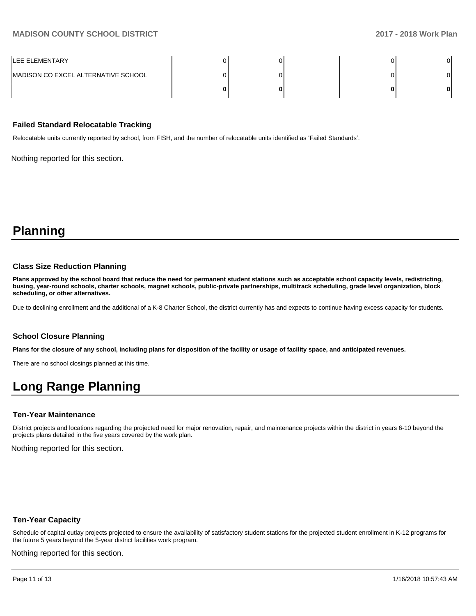## **MADISON COUNTY SCHOOL DISTRICT 2017 - 2018 Work Plan**

| <b>ILEE ELEMENTARY</b>              |  |  |  |
|-------------------------------------|--|--|--|
| MADISON CO EXCEL ALTERNATIVE SCHOOL |  |  |  |
|                                     |  |  |  |

#### **Failed Standard Relocatable Tracking**

Relocatable units currently reported by school, from FISH, and the number of relocatable units identified as 'Failed Standards'.

Nothing reported for this section.

**Planning**

#### **Class Size Reduction Planning**

**Plans approved by the school board that reduce the need for permanent student stations such as acceptable school capacity levels, redistricting, busing, year-round schools, charter schools, magnet schools, public-private partnerships, multitrack scheduling, grade level organization, block scheduling, or other alternatives.**

Due to declining enrollment and the additional of a K-8 Charter School, the district currently has and expects to continue having excess capacity for students.

## **School Closure Planning**

**Plans for the closure of any school, including plans for disposition of the facility or usage of facility space, and anticipated revenues.** 

There are no school closings planned at this time.

## **Long Range Planning**

#### **Ten-Year Maintenance**

District projects and locations regarding the projected need for major renovation, repair, and maintenance projects within the district in years 6-10 beyond the projects plans detailed in the five years covered by the work plan.

Nothing reported for this section.

#### **Ten-Year Capacity**

Schedule of capital outlay projects projected to ensure the availability of satisfactory student stations for the projected student enrollment in K-12 programs for the future 5 years beyond the 5-year district facilities work program.

Nothing reported for this section.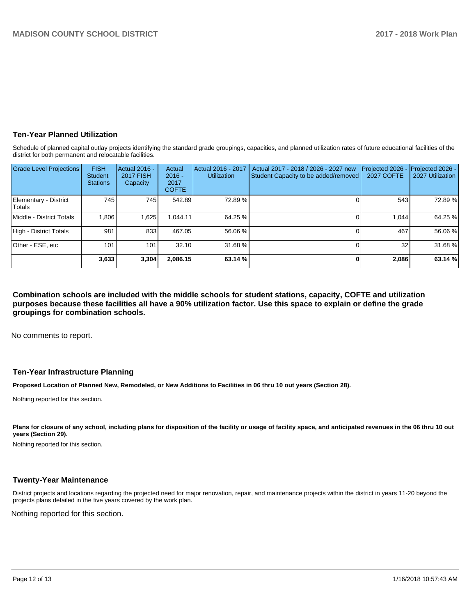## **Ten-Year Planned Utilization**

Schedule of planned capital outlay projects identifying the standard grade groupings, capacities, and planned utilization rates of future educational facilities of the district for both permanent and relocatable facilities.

| <b>Grade Level Projections</b>  | <b>FISH</b><br>Student<br><b>Stations</b> | Actual 2016 -<br><b>2017 FISH</b><br>Capacity | Actual<br>$2016 -$<br>2017<br><b>COFTE</b> | Actual 2016 - 2017<br><b>Utilization</b> | Actual 2017 - 2018 / 2026 - 2027 new<br>Student Capacity to be added/removed | Projected 2026<br><b>2027 COFTE</b> | Projected 2026 -<br>2027 Utilization |
|---------------------------------|-------------------------------------------|-----------------------------------------------|--------------------------------------------|------------------------------------------|------------------------------------------------------------------------------|-------------------------------------|--------------------------------------|
| Elementary - District<br>Totals | 745 l                                     | 745 I                                         | 542.89                                     | 72.89 %                                  |                                                                              | 543                                 | 72.89 %                              |
| Middle - District Totals        | 1,806                                     | 1,625                                         | .044.11                                    | 64.25 %                                  |                                                                              | 1.044                               | 64.25 %                              |
| High - District Totals          | 981                                       | 833                                           | 467.05                                     | 56.06 %                                  |                                                                              | 467                                 | 56.06 %                              |
| Other - ESE, etc                | 101                                       | 101                                           | 32.10                                      | 31.68 %                                  |                                                                              | 32                                  | 31.68 %                              |
|                                 | 3,633                                     | 3,304                                         | 2.086.15                                   | 63.14 %                                  |                                                                              | 2.086                               | 63.14%                               |

**Combination schools are included with the middle schools for student stations, capacity, COFTE and utilization purposes because these facilities all have a 90% utilization factor. Use this space to explain or define the grade groupings for combination schools.** 

No comments to report.

#### **Ten-Year Infrastructure Planning**

**Proposed Location of Planned New, Remodeled, or New Additions to Facilities in 06 thru 10 out years (Section 28).**

Nothing reported for this section.

Plans for closure of any school, including plans for disposition of the facility or usage of facility space, and anticipated revenues in the 06 thru 10 out **years (Section 29).**

Nothing reported for this section.

## **Twenty-Year Maintenance**

District projects and locations regarding the projected need for major renovation, repair, and maintenance projects within the district in years 11-20 beyond the projects plans detailed in the five years covered by the work plan.

Nothing reported for this section.